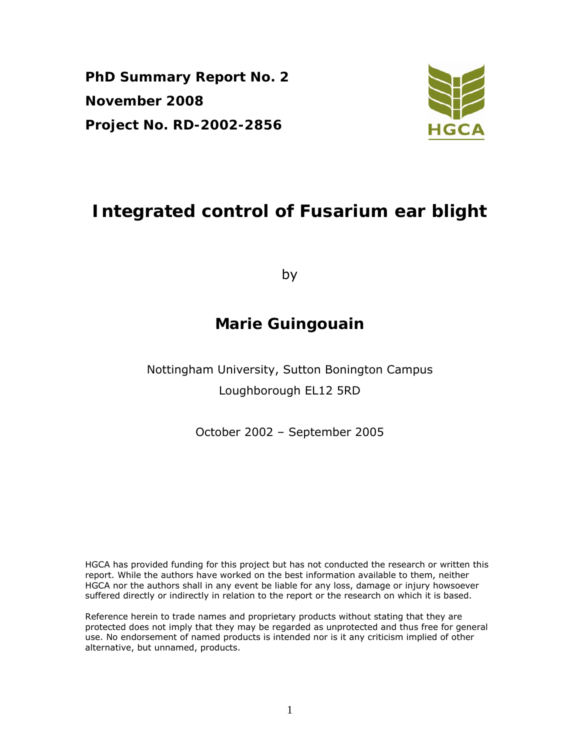**PhD Summary Report No. 2 November 2008 Project No. RD-2002-2856** 



# **Integrated control of Fusarium ear blight**

by

## **Marie Guingouain**

Nottingham University, Sutton Bonington Campus Loughborough EL12 5RD

October 2002 – September 2005

HGCA has provided funding for this project but has not conducted the research or written this report. While the authors have worked on the best information available to them, neither HGCA nor the authors shall in any event be liable for any loss, damage or injury howsoever suffered directly or indirectly in relation to the report or the research on which it is based.

Reference herein to trade names and proprietary products without stating that they are protected does not imply that they may be regarded as unprotected and thus free for general use. No endorsement of named products is intended nor is it any criticism implied of other alternative, but unnamed, products.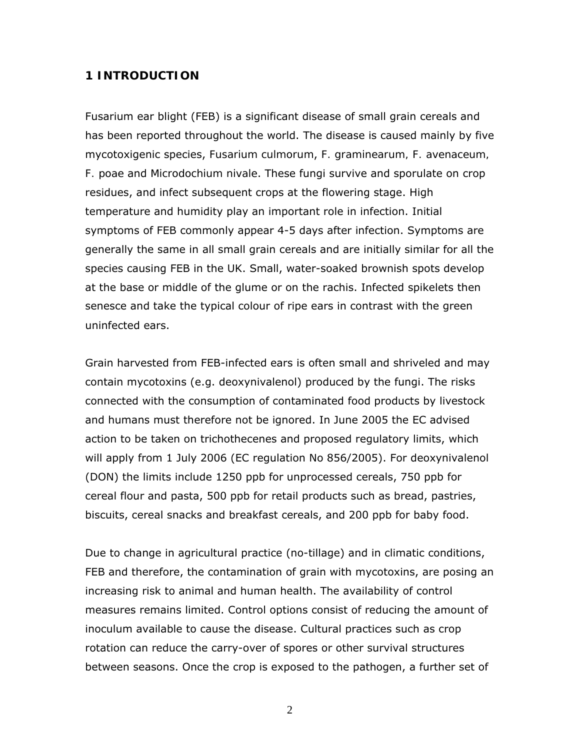#### **1 INTRODUCTION**

Fusarium ear blight (FEB) is a significant disease of small grain cereals and has been reported throughout the world. The disease is caused mainly by five mycotoxigenic species, *Fusarium culmorum*, *F. graminearum, F. avenaceum, F. poae* and *Microdochium nivale*. These fungi survive and sporulate on crop residues, and infect subsequent crops at the flowering stage. High temperature and humidity play an important role in infection. Initial symptoms of FEB commonly appear 4-5 days after infection. Symptoms are generally the same in all small grain cereals and are initially similar for all the species causing FEB in the UK. Small, water-soaked brownish spots develop at the base or middle of the glume or on the rachis. Infected spikelets then senesce and take the typical colour of ripe ears in contrast with the green uninfected ears.

Grain harvested from FEB-infected ears is often small and shriveled and may contain mycotoxins (e.g. deoxynivalenol) produced by the fungi. The risks connected with the consumption of contaminated food products by livestock and humans must therefore not be ignored. In June 2005 the EC advised action to be taken on trichothecenes and proposed regulatory limits, which will apply from 1 July 2006 (EC regulation No 856/2005). For deoxynivalenol (DON) the limits include 1250 ppb for unprocessed cereals, 750 ppb for cereal flour and pasta, 500 ppb for retail products such as bread, pastries, biscuits, cereal snacks and breakfast cereals, and 200 ppb for baby food.

Due to change in agricultural practice (no-tillage) and in climatic conditions, FEB and therefore, the contamination of grain with mycotoxins, are posing an increasing risk to animal and human health. The availability of control measures remains limited. Control options consist of reducing the amount of inoculum available to cause the disease. Cultural practices such as crop rotation can reduce the carry-over of spores or other survival structures between seasons. Once the crop is exposed to the pathogen, a further set of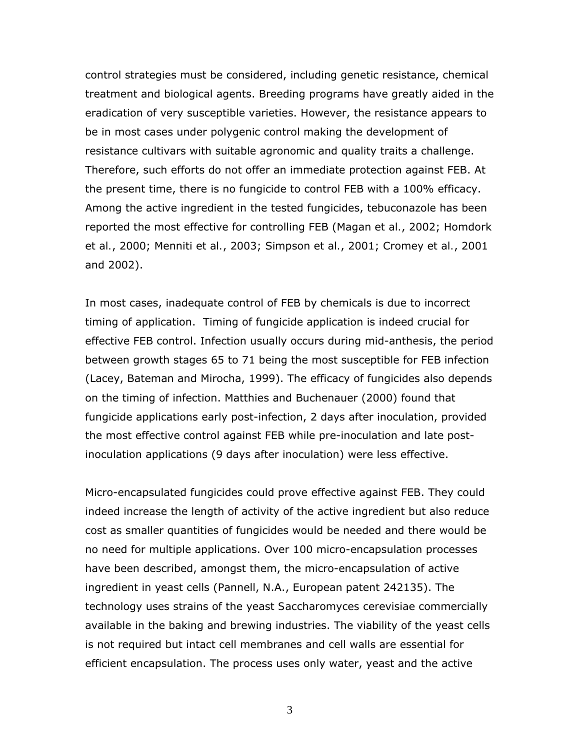control strategies must be considered, including genetic resistance, chemical treatment and biological agents. Breeding programs have greatly aided in the eradication of very susceptible varieties. However, the resistance appears to be in most cases under polygenic control making the development of resistance cultivars with suitable agronomic and quality traits a challenge. Therefore, such efforts do not offer an immediate protection against FEB. At the present time, there is no fungicide to control FEB with a 100% efficacy. Among the active ingredient in the tested fungicides, tebuconazole has been reported the most effective for controlling FEB (Magan *et al.*, 2002; Homdork *et al.*, 2000; Menniti *et al.*, 2003; Simpson *et al.*, 2001; Cromey *et al.*, 2001 and 2002).

In most cases, inadequate control of FEB by chemicals is due to incorrect timing of application. Timing of fungicide application is indeed crucial for effective FEB control. Infection usually occurs during mid-anthesis, the period between growth stages 65 to 71 being the most susceptible for FEB infection (Lacey, Bateman and Mirocha, 1999). The efficacy of fungicides also depends on the timing of infection. Matthies and Buchenauer (2000) found that fungicide applications early post-infection, 2 days after inoculation, provided the most effective control against FEB while pre-inoculation and late postinoculation applications (9 days after inoculation) were less effective.

Micro-encapsulated fungicides could prove effective against FEB. They could indeed increase the length of activity of the active ingredient but also reduce cost as smaller quantities of fungicides would be needed and there would be no need for multiple applications. Over 100 micro-encapsulation processes have been described, amongst them, the micro-encapsulation of active ingredient in yeast cells (Pannell, N.A., European patent 242135). The technology uses strains of the yeast *Saccharomyces cerevisiae* commercially available in the baking and brewing industries. The viability of the yeast cells is not required but intact cell membranes and cell walls are essential for efficient encapsulation. The process uses only water, yeast and the active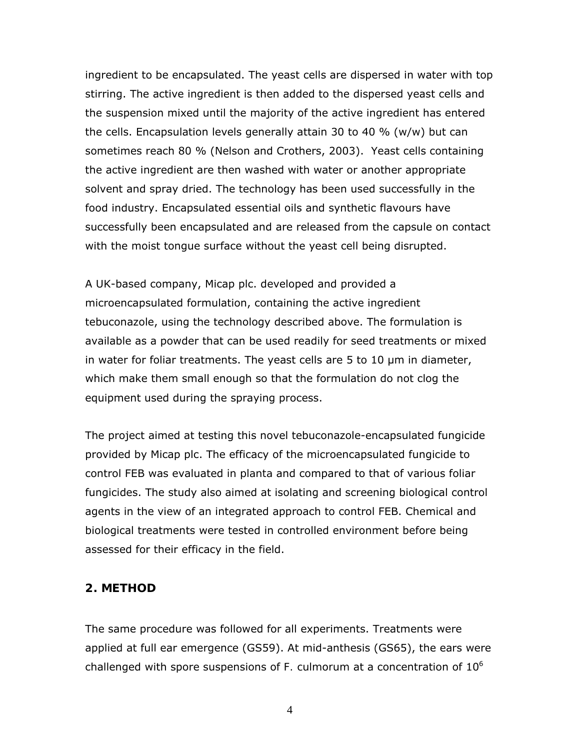ingredient to be encapsulated. The yeast cells are dispersed in water with top stirring. The active ingredient is then added to the dispersed yeast cells and the suspension mixed until the majority of the active ingredient has entered the cells. Encapsulation levels generally attain 30 to 40 % (w/w) but can sometimes reach 80 % (Nelson and Crothers, 2003). Yeast cells containing the active ingredient are then washed with water or another appropriate solvent and spray dried. The technology has been used successfully in the food industry. Encapsulated essential oils and synthetic flavours have successfully been encapsulated and are released from the capsule on contact with the moist tongue surface without the yeast cell being disrupted.

A UK-based company, Micap plc. developed and provided a microencapsulated formulation, containing the active ingredient tebuconazole, using the technology described above. The formulation is available as a powder that can be used readily for seed treatments or mixed in water for foliar treatments. The yeast cells are 5 to 10 μm in diameter, which make them small enough so that the formulation do not clog the equipment used during the spraying process.

The project aimed at testing this novel tebuconazole-encapsulated fungicide provided by Micap plc. The efficacy of the microencapsulated fungicide to control FEB was evaluated *in planta* and compared to that of various foliar fungicides. The study also aimed at isolating and screening biological control agents in the view of an integrated approach to control FEB. Chemical and biological treatments were tested in controlled environment before being assessed for their efficacy in the field.

#### **2. METHOD**

The same procedure was followed for all experiments. Treatments were applied at full ear emergence (GS59). At mid-anthesis (GS65), the ears were challenged with spore suspensions of *F. culmorum* at a concentration of 106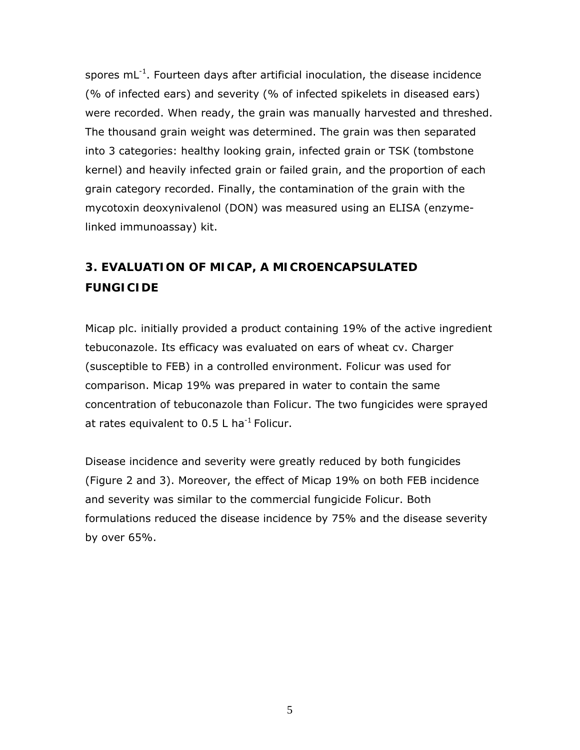spores  $mL^{-1}$ . Fourteen days after artificial inoculation, the disease incidence (% of infected ears) and severity (% of infected spikelets in diseased ears) were recorded. When ready, the grain was manually harvested and threshed. The thousand grain weight was determined. The grain was then separated into 3 categories: healthy looking grain, infected grain or TSK (tombstone kernel) and heavily infected grain or failed grain, and the proportion of each grain category recorded. Finally, the contamination of the grain with the mycotoxin deoxynivalenol (DON) was measured using an ELISA (enzymelinked immunoassay) kit.

### **3. EVALUATION OF MICAP, A MICROENCAPSULATED FUNGICIDE**

Micap plc. initially provided a product containing 19% of the active ingredient tebuconazole. Its efficacy was evaluated on ears of wheat cv. Charger (susceptible to FEB) in a controlled environment. Folicur was used for comparison. Micap 19% was prepared in water to contain the same concentration of tebuconazole than Folicur. The two fungicides were sprayed at rates equivalent to  $0.5$  L ha<sup>-1</sup> Folicur.

Disease incidence and severity were greatly reduced by both fungicides (Figure 2 and 3). Moreover, the effect of Micap 19% on both FEB incidence and severity was similar to the commercial fungicide Folicur. Both formulations reduced the disease incidence by 75% and the disease severity by over 65%.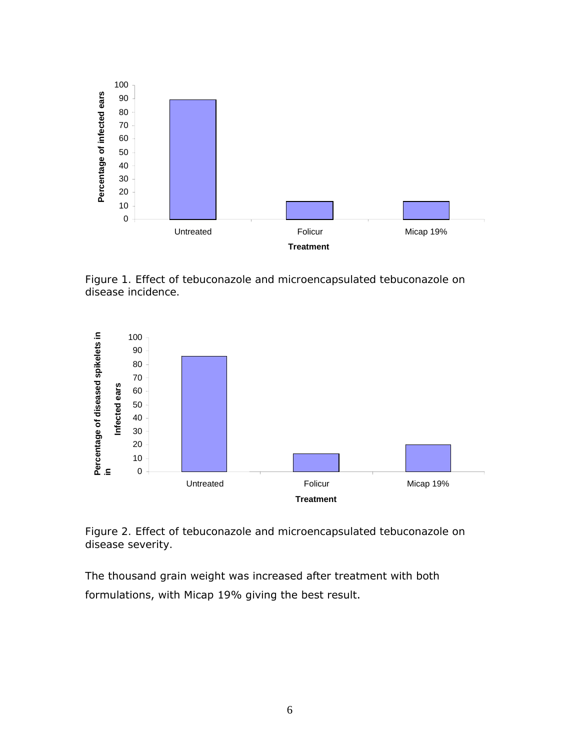

*Figure 1. Effect of tebuconazole and microencapsulated tebuconazole on disease incidence.* 



*Figure 2. Effect of tebuconazole and microencapsulated tebuconazole on disease severity.* 

The thousand grain weight was increased after treatment with both formulations, with Micap 19% giving the best result.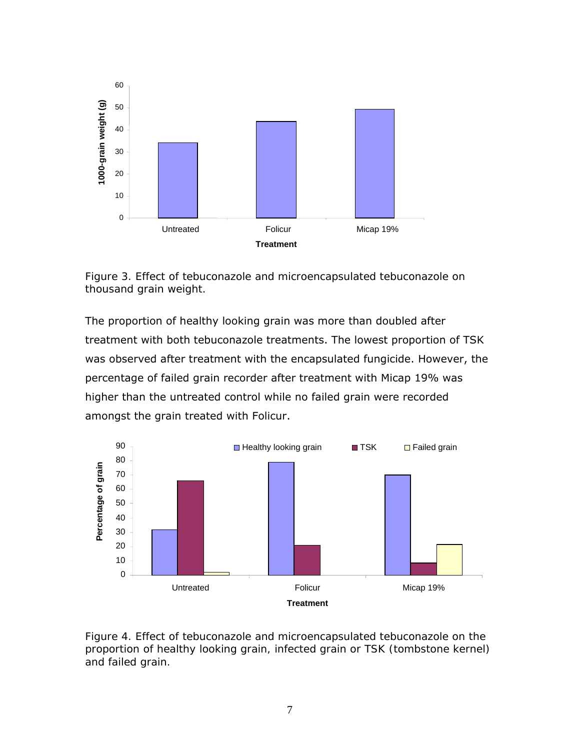

*Figure 3. Effect of tebuconazole and microencapsulated tebuconazole on thousand grain weight.* 

The proportion of healthy looking grain was more than doubled after treatment with both tebuconazole treatments. The lowest proportion of TSK was observed after treatment with the encapsulated fungicide. However, the percentage of failed grain recorder after treatment with Micap 19% was higher than the untreated control while no failed grain were recorded amongst the grain treated with Folicur.



*Figure 4. Effect of tebuconazole and microencapsulated tebuconazole on the proportion of healthy looking grain, infected grain or TSK (tombstone kernel) and failed grain.*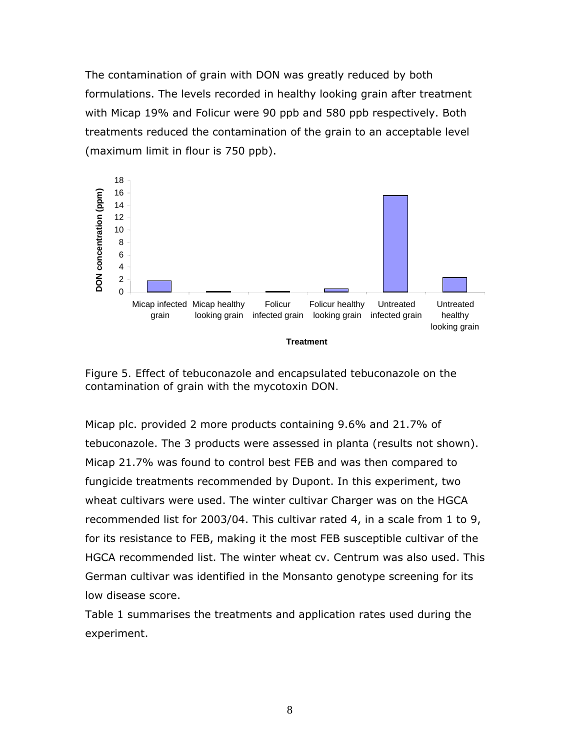The contamination of grain with DON was greatly reduced by both formulations. The levels recorded in healthy looking grain after treatment with Micap 19% and Folicur were 90 ppb and 580 ppb respectively. Both treatments reduced the contamination of the grain to an acceptable level (maximum limit in flour is 750 ppb).



*Figure 5. Effect of tebuconazole and encapsulated tebuconazole on the contamination of grain with the mycotoxin DON.* 

Micap plc. provided 2 more products containing 9.6% and 21.7% of tebuconazole. The 3 products were assessed *in planta* (results not shown). Micap 21.7% was found to control best FEB and was then compared to fungicide treatments recommended by Dupont. In this experiment, two wheat cultivars were used. The winter cultivar Charger was on the HGCA recommended list for 2003/04. This cultivar rated 4, in a scale from 1 to 9, for its resistance to FEB, making it the most FEB susceptible cultivar of the HGCA recommended list. The winter wheat cv. Centrum was also used. This German cultivar was identified in the Monsanto genotype screening for its low disease score.

Table 1 summarises the treatments and application rates used during the experiment.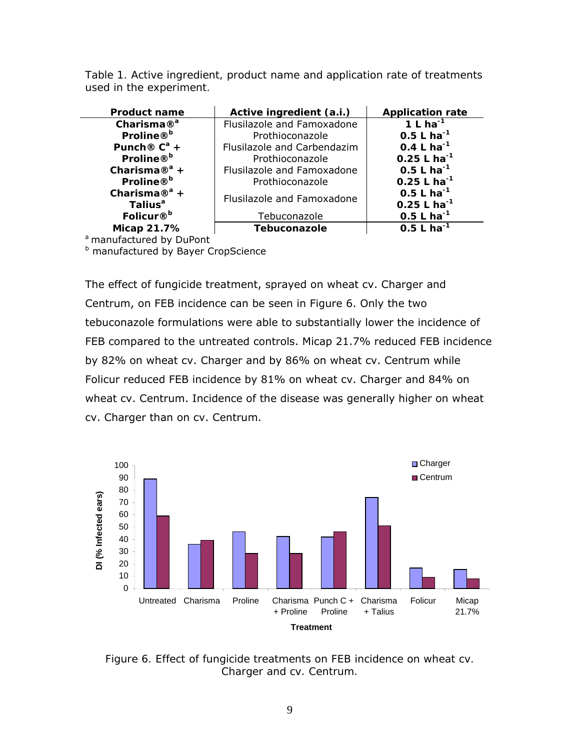*Table 1. Active ingredient, product name and application rate of treatments used in the experiment.* 

| <b>Product name</b>       | Active ingredient (a.i.)    | <b>Application rate</b> |
|---------------------------|-----------------------------|-------------------------|
| Charisma $\mathbb{R}^a$   | Flusilazole and Famoxadone  | 1 L ha $^{-1}$          |
| Proline® <sup>b</sup>     | Prothioconazole             | $0.5 L ha^{-1}$         |
| Punch® $C^a$ +            | Flusilazole and Carbendazim | 0.4 L ha <sup>-1</sup>  |
| Proline® <sup>b</sup>     | Prothioconazole             | $0.25 L ha^{-1}$        |
| Charisma $\mathbb{R}^a$ + | Flusilazole and Famoxadone  | $0.5 L ha^{-1}$         |
| Proline® <sup>b</sup>     | Prothioconazole             | $0.25 L ha^{-1}$        |
| Charisma $\mathbb{R}^a$ + |                             | 0.5 L ha <sup>-1</sup>  |
| Talius <sup>a</sup>       | Flusilazole and Famoxadone  | $0.25 L ha^{-1}$        |
| Folicur® <sup>b</sup>     | Tebuconazole                | $0.5 L ha^{-1}$         |
| Micap 21.7%               | Tebuconazole                | 0.5 L ha <sup>-1</sup>  |

a manufactured by DuPont

**b** manufactured by Bayer CropScience

The effect of fungicide treatment, sprayed on wheat cv. Charger and Centrum, on FEB incidence can be seen in Figure 6. Only the two tebuconazole formulations were able to substantially lower the incidence of FEB compared to the untreated controls. Micap 21.7% reduced FEB incidence by 82% on wheat cv. Charger and by 86% on wheat cv. Centrum while Folicur reduced FEB incidence by 81% on wheat cv. Charger and 84% on wheat cv. Centrum. Incidence of the disease was generally higher on wheat cv. Charger than on cv. Centrum.



*Figure 6. Effect of fungicide treatments on FEB incidence on wheat cv. Charger and cv. Centrum.*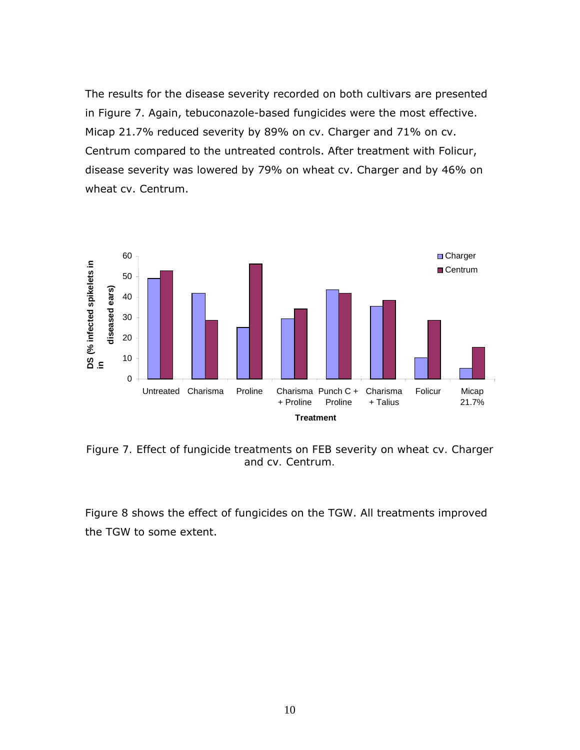The results for the disease severity recorded on both cultivars are presented in Figure 7. Again, tebuconazole-based fungicides were the most effective. Micap 21.7% reduced severity by 89% on cv. Charger and 71% on cv. Centrum compared to the untreated controls. After treatment with Folicur, disease severity was lowered by 79% on wheat cv. Charger and by 46% on wheat cv. Centrum.



*Figure 7. Effect of fungicide treatments on FEB severity on wheat cv. Charger and cv. Centrum.* 

Figure 8 shows the effect of fungicides on the TGW. All treatments improved the TGW to some extent.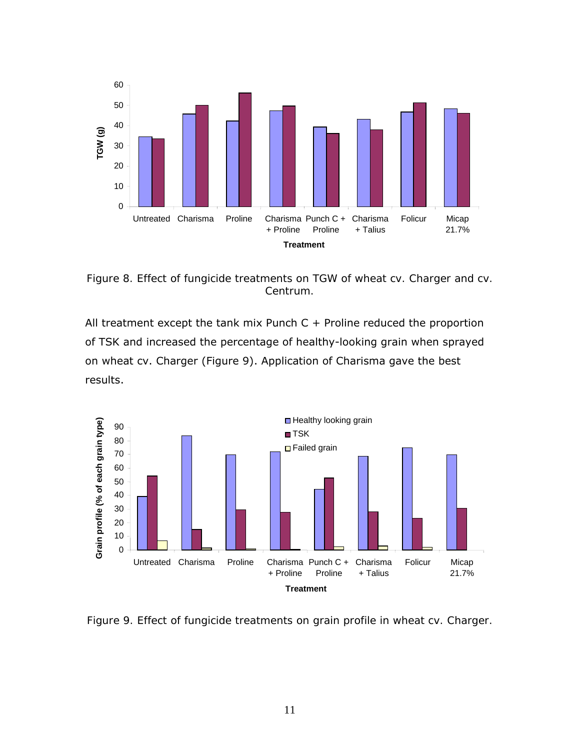

*Figure 8. Effect of fungicide treatments on TGW of wheat cv. Charger and cv. Centrum.* 

All treatment except the tank mix Punch  $C +$  Proline reduced the proportion of TSK and increased the percentage of healthy-looking grain when sprayed on wheat cv. Charger (Figure 9). Application of Charisma gave the best results.



*Figure 9. Effect of fungicide treatments on grain profile in wheat cv. Charger.*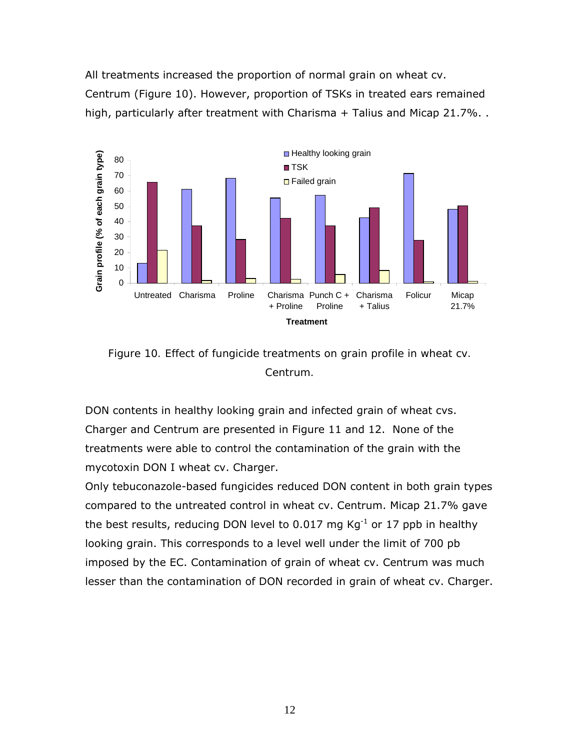All treatments increased the proportion of normal grain on wheat cv. Centrum (Figure 10). However, proportion of TSKs in treated ears remained high, particularly after treatment with Charisma + Talius and Micap 21.7%..





DON contents in healthy looking grain and infected grain of wheat cvs. Charger and Centrum are presented in Figure 11 and 12. None of the treatments were able to control the contamination of the grain with the mycotoxin DON I wheat cv. Charger.

Only tebuconazole-based fungicides reduced DON content in both grain types compared to the untreated control in wheat cv. Centrum. Micap 21.7% gave the best results, reducing DON level to 0.017 mg  $Kg^{-1}$  or 17 ppb in healthy looking grain. This corresponds to a level well under the limit of 700 pb imposed by the EC. Contamination of grain of wheat cv. Centrum was much lesser than the contamination of DON recorded in grain of wheat cv. Charger.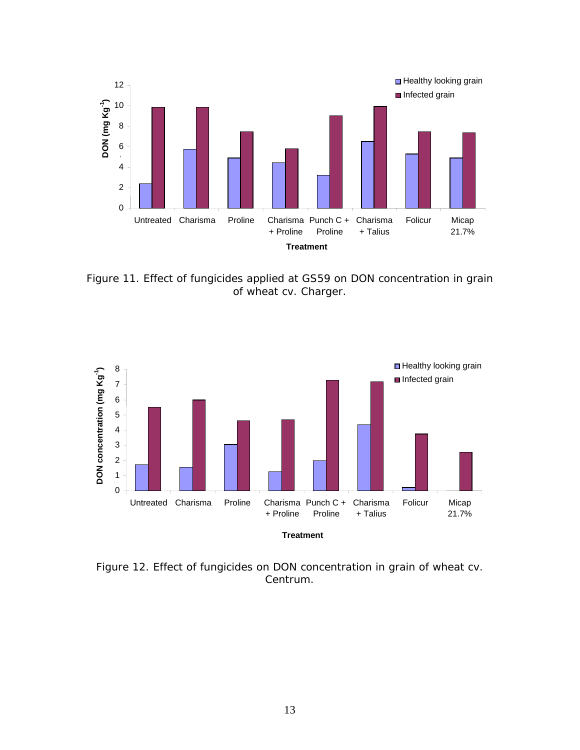

*Figure 11. Effect of fungicides applied at GS59 on DON concentration in grain of wheat cv. Charger.* 



*Figure 12. Effect of fungicides on DON concentration in grain of wheat cv. Centrum.*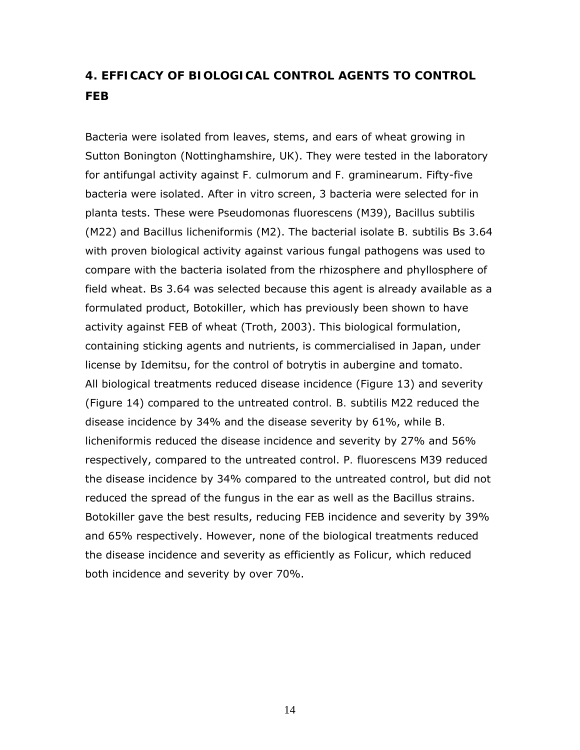### **4. EFFICACY OF BIOLOGICAL CONTROL AGENTS TO CONTROL FEB**

Bacteria were isolated from leaves, stems, and ears of wheat growing in Sutton Bonington (Nottinghamshire, UK). They were tested in the laboratory for antifungal activity against *F. culmorum* and *F. graminearum*. Fifty-five bacteria were isolated. After *in vitro* screen, 3 bacteria were selected for *in planta* tests. These were *Pseudomonas fluorescens* (M39), *Bacillus subtilis* (M22) and *Bacillus licheniformis* (M2). The bacterial isolate *B. subtilis* Bs 3.64 with proven biological activity against various fungal pathogens was used to compare with the bacteria isolated from the rhizosphere and phyllosphere of field wheat. Bs 3.64 was selected because this agent is already available as a formulated product, Botokiller, which has previously been shown to have activity against FEB of wheat (Troth, 2003). This biological formulation, containing sticking agents and nutrients, is commercialised in Japan, under license by Idemitsu, for the control of botrytis in aubergine and tomato. All biological treatments reduced disease incidence (Figure 13) and severity (Figure 14) compared to the untreated control*. B. subtilis* M22 reduced the disease incidence by 34% and the disease severity by 61%, while *B. licheniformis* reduced the disease incidence and severity by 27% and 56% respectively, compared to the untreated control. *P. fluorescens* M39 reduced the disease incidence by 34% compared to the untreated control, but did not reduced the spread of the fungus in the ear as well as the Bacillus strains. Botokiller gave the best results, reducing FEB incidence and severity by 39% and 65% respectively. However, none of the biological treatments reduced the disease incidence and severity as efficiently as Folicur, which reduced both incidence and severity by over 70%.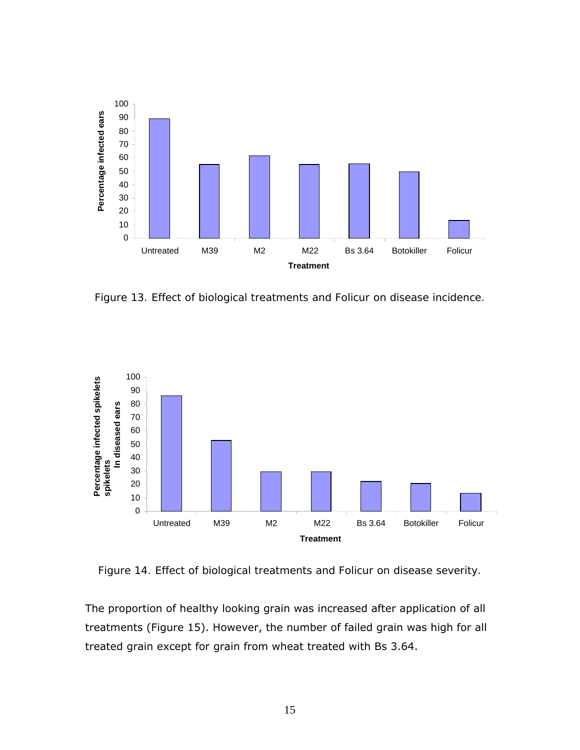

*Figure 13. Effect of biological treatments and Folicur on disease incidence.* 



*Figure 14. Effect of biological treatments and Folicur on disease severity.* 

The proportion of healthy looking grain was increased after application of all treatments (Figure 15). However, the number of failed grain was high for all treated grain except for grain from wheat treated with Bs 3.64.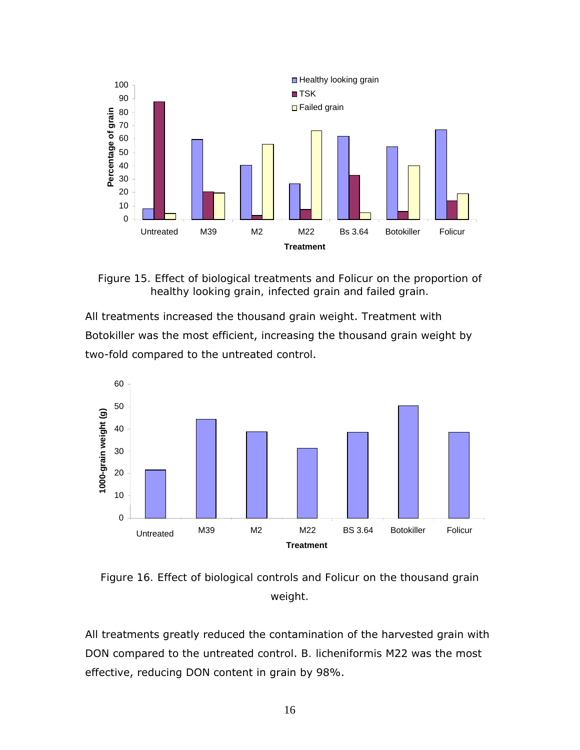

*Figure 15. Effect of biological treatments and Folicur on the proportion of healthy looking grain, infected grain and failed grain.* 

All treatments increased the thousand grain weight. Treatment with Botokiller was the most efficient, increasing the thousand grain weight by two-fold compared to the untreated control.



*Figure 16. Effect of biological controls and Folicur on the thousand grain weight.* 

All treatments greatly reduced the contamination of the harvested grain with DON compared to the untreated control. *B. licheniformis* M22 was the most effective, reducing DON content in grain by 98%.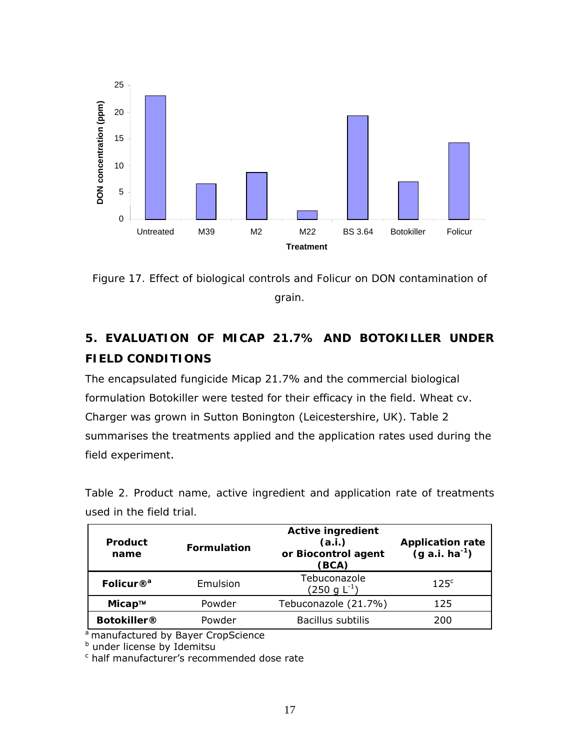

*Figure 17. Effect of biological controls and Folicur on DON contamination of grain.* 

### **5. EVALUATION OF MICAP 21.7% AND BOTOKILLER UNDER FIELD CONDITIONS**

The encapsulated fungicide Micap 21.7% and the commercial biological formulation Botokiller were tested for their efficacy in the field. Wheat cv. Charger was grown in Sutton Bonington (Leicestershire, UK). Table 2 summarises the treatments applied and the application rates used during the field experiment.

*Table 2. Product name, active ingredient and application rate of treatments used in the field trial.* 

| <b>Product</b><br>name | <b>Formulation</b> | <b>Active ingredient</b><br>(a.i.)<br>or Biocontrol agent<br>(BCA) | <b>Application rate</b><br>$(g a.i. ha^{-1})$ |
|------------------------|--------------------|--------------------------------------------------------------------|-----------------------------------------------|
| Folicur $\mathbb{R}^a$ | Emulsion           | Tebuconazole<br>$(250 \text{ g L}^{-1})$                           | 125 <sup>c</sup>                              |
| Місар™                 | Powder             | Tebuconazole (21.7%)                                               | 125                                           |
| <b>Botokiller®</b>     | Powder             | Bacillus subtilis                                                  | 200                                           |

<sup>a</sup> manufactured by Bayer CropScience<br><sup>b</sup> under license by Idemitsu

c half manufacturer's recommended dose rate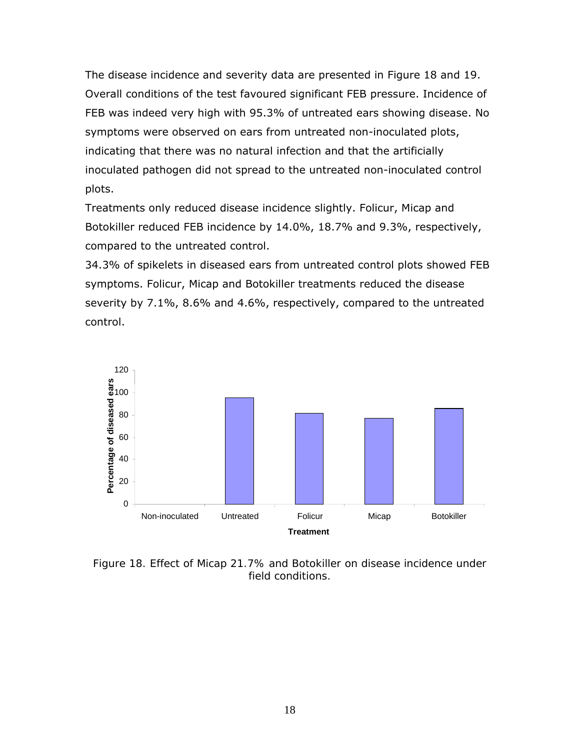The disease incidence and severity data are presented in Figure 18 and 19. Overall conditions of the test favoured significant FEB pressure. Incidence of FEB was indeed very high with 95.3% of untreated ears showing disease. No symptoms were observed on ears from untreated non-inoculated plots, indicating that there was no natural infection and that the artificially inoculated pathogen did not spread to the untreated non-inoculated control plots.

Treatments only reduced disease incidence slightly. Folicur, Micap and Botokiller reduced FEB incidence by 14.0%, 18.7% and 9.3%, respectively, compared to the untreated control.

34.3% of spikelets in diseased ears from untreated control plots showed FEB symptoms. Folicur, Micap and Botokiller treatments reduced the disease severity by 7.1%, 8.6% and 4.6%, respectively, compared to the untreated control.



*Figure 18. Effect of Micap 21.7% and Botokiller on disease incidence under field conditions.*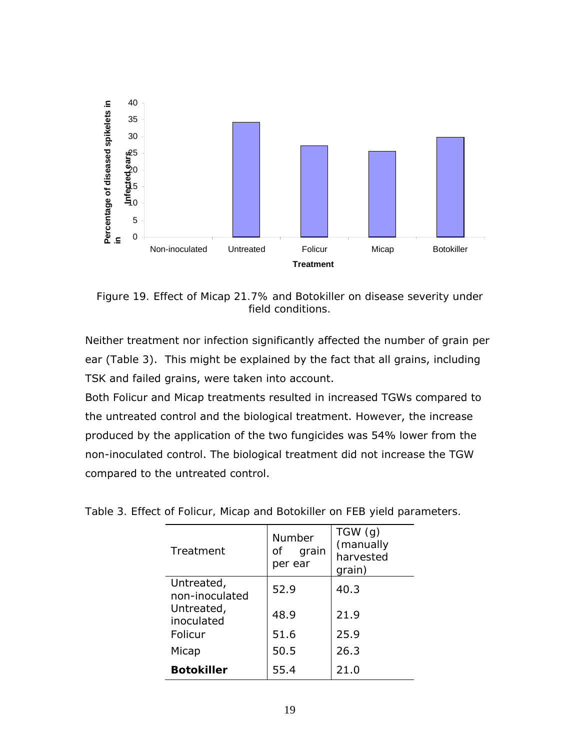

*Figure 19. Effect of Micap 21.7% and Botokiller on disease severity under field conditions.* 

Neither treatment nor infection significantly affected the number of grain per ear (Table 3). This might be explained by the fact that all grains, including TSK and failed grains, were taken into account.

Both Folicur and Micap treatments resulted in increased TGWs compared to the untreated control and the biological treatment. However, the increase produced by the application of the two fungicides was 54% lower from the non-inoculated control. The biological treatment did not increase the TGW compared to the untreated control.

| Treatment                    | Number<br>0f<br>grain<br>per ear | TGW(g)<br>(manually<br>harvested<br>grain) |
|------------------------------|----------------------------------|--------------------------------------------|
| Untreated,<br>non-inoculated | 52.9                             | 40.3                                       |
| Untreated,<br>inoculated     | 48.9                             | 21.9                                       |
| Folicur                      | 51.6                             | 25.9                                       |
| Micap                        | 50.5                             | 26.3                                       |
| <b>Botokiller</b>            | 55.4                             | 21.0                                       |

*Table 3. Effect of Folicur, Micap and Botokiller on FEB yield parameters.*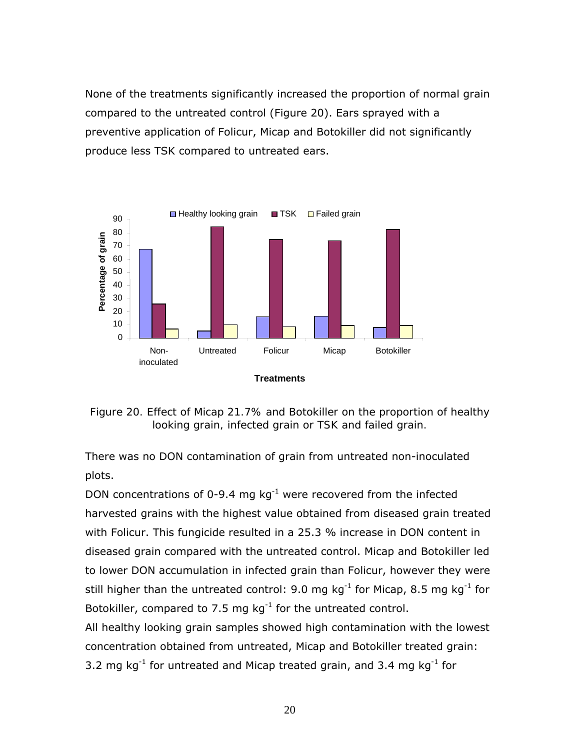None of the treatments significantly increased the proportion of normal grain compared to the untreated control (Figure 20). Ears sprayed with a preventive application of Folicur, Micap and Botokiller did not significantly produce less TSK compared to untreated ears.



*Figure 20. Effect of Micap 21.7% and Botokiller on the proportion of healthy looking grain, infected grain or TSK and failed grain.* 

There was no DON contamination of grain from untreated non-inoculated plots.

DON concentrations of 0-9.4 mg  $kg^{-1}$  were recovered from the infected harvested grains with the highest value obtained from diseased grain treated with Folicur. This fungicide resulted in a 25.3 % increase in DON content in diseased grain compared with the untreated control. Micap and Botokiller led to lower DON accumulation in infected grain than Folicur, however they were still higher than the untreated control: 9.0 mg  $kg^{-1}$  for Micap, 8.5 mg  $kg^{-1}$  for Botokiller, compared to 7.5 mg  $kg^{-1}$  for the untreated control.

All healthy looking grain samples showed high contamination with the lowest concentration obtained from untreated, Micap and Botokiller treated grain: 3.2 mg  $kg^{-1}$  for untreated and Micap treated grain, and 3.4 mg  $kg^{-1}$  for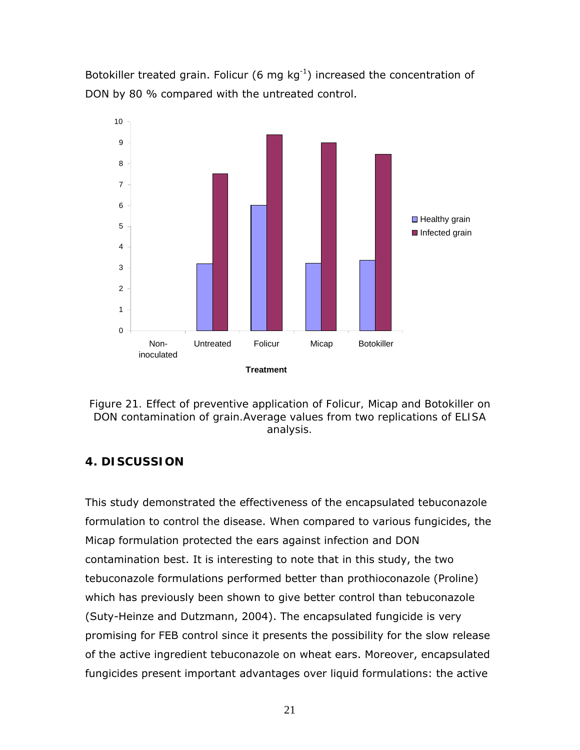Botokiller treated grain. Folicur (6 mg  $kg^{-1}$ ) increased the concentration of DON by 80 % compared with the untreated control.



*Figure 21. Effect of preventive application of Folicur, Micap and Botokiller on DON contamination of grain.Average values from two replications of ELISA analysis.* 

### **4. DISCUSSION**

This study demonstrated the effectiveness of the encapsulated tebuconazole formulation to control the disease. When compared to various fungicides, the Micap formulation protected the ears against infection and DON contamination best. It is interesting to note that in this study, the two tebuconazole formulations performed better than prothioconazole (Proline) which has previously been shown to give better control than tebuconazole (Suty-Heinze and Dutzmann, 2004). The encapsulated fungicide is very promising for FEB control since it presents the possibility for the slow release of the active ingredient tebuconazole on wheat ears. Moreover, encapsulated fungicides present important advantages over liquid formulations: the active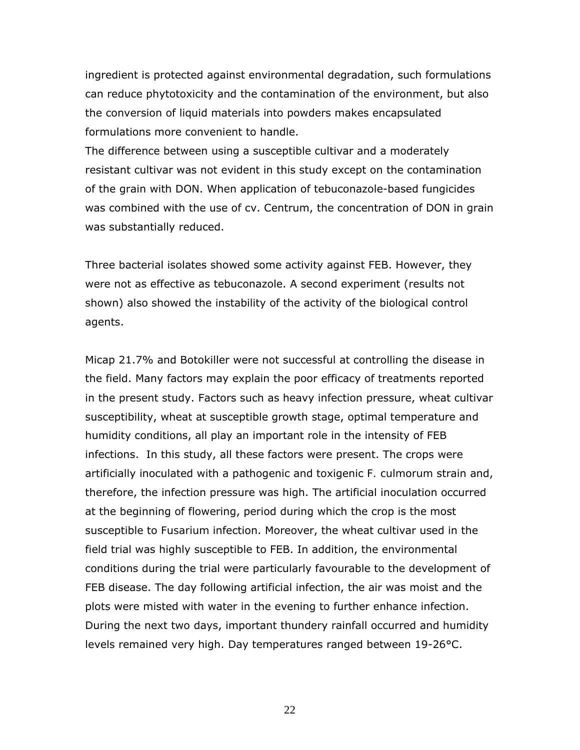ingredient is protected against environmental degradation, such formulations can reduce phytotoxicity and the contamination of the environment, but also the conversion of liquid materials into powders makes encapsulated formulations more convenient to handle.

The difference between using a susceptible cultivar and a moderately resistant cultivar was not evident in this study except on the contamination of the grain with DON. When application of tebuconazole-based fungicides was combined with the use of cv. Centrum, the concentration of DON in grain was substantially reduced.

Three bacterial isolates showed some activity against FEB. However, they were not as effective as tebuconazole. A second experiment (results not shown) also showed the instability of the activity of the biological control agents.

Micap 21.7% and Botokiller were not successful at controlling the disease in the field. Many factors may explain the poor efficacy of treatments reported in the present study. Factors such as heavy infection pressure, wheat cultivar susceptibility, wheat at susceptible growth stage, optimal temperature and humidity conditions, all play an important role in the intensity of FEB infections. In this study, all these factors were present. The crops were artificially inoculated with a pathogenic and toxigenic *F. culmorum* strain and, therefore, the infection pressure was high. The artificial inoculation occurred at the beginning of flowering, period during which the crop is the most susceptible to *Fusarium* infection. Moreover, the wheat cultivar used in the field trial was highly susceptible to FEB. In addition, the environmental conditions during the trial were particularly favourable to the development of FEB disease. The day following artificial infection, the air was moist and the plots were misted with water in the evening to further enhance infection. During the next two days, important thundery rainfall occurred and humidity levels remained very high. Day temperatures ranged between 19-26°C.